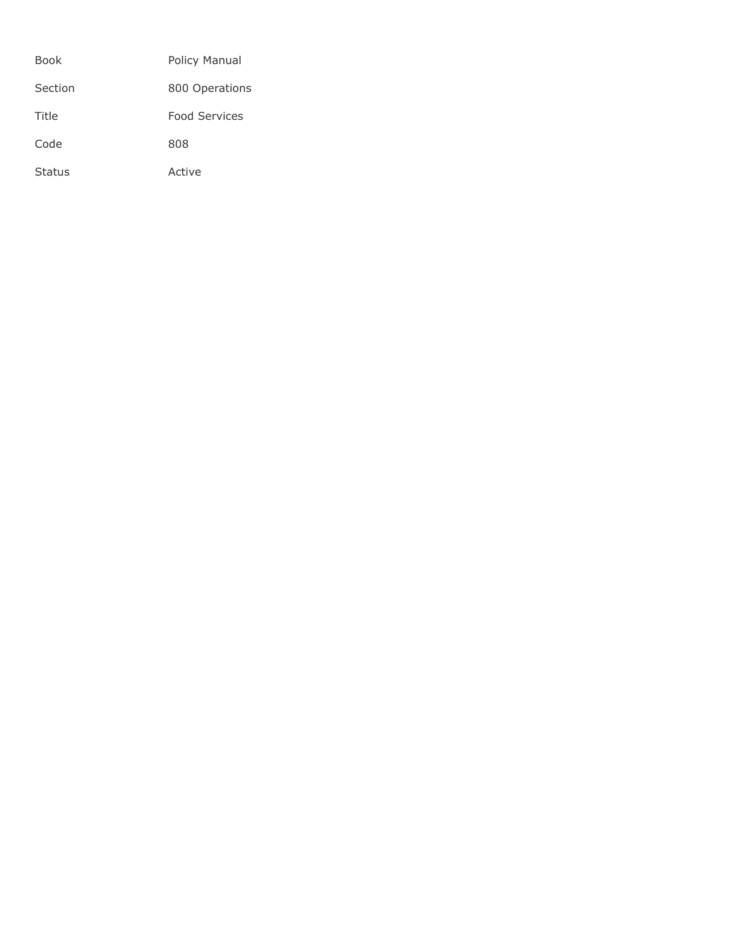| <b>Book</b>   | Policy Manual        |
|---------------|----------------------|
| Section       | 800 Operations       |
| Title         | <b>Food Services</b> |
| Code          | 808                  |
| <b>Status</b> | Active               |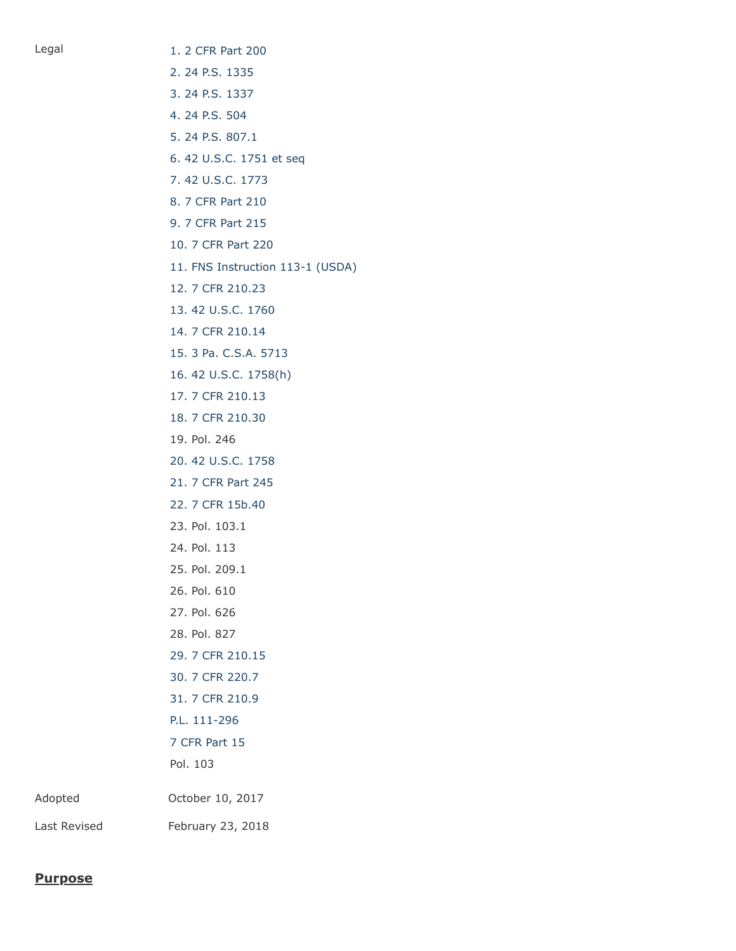Legal [1. 2 CFR Part 200](http://www.ecfr.gov/cgi-bin/text-idx?SID=f19ad7e3b69771d2c8718ff28c77c423&mc=true&node=pt2.1.200&rgn=div5) [2. 24 P.S. 1335](http://www.legis.state.pa.us/cfdocs/legis/LI/uconsCheck.cfm?txtType=HTM&yr=1949&sessInd=0&smthLwInd=0&act=14&chpt=13&sctn=35&subsctn=0) [3. 24 P.S. 1337](http://www.legis.state.pa.us/cfdocs/legis/LI/uconsCheck.cfm?txtType=HTM&yr=1949&sessInd=0&smthLwInd=0&act=14&chpt=13&sctn=37&subsctn=0) [4. 24 P.S. 504](http://www.legis.state.pa.us/cfdocs/legis/LI/uconsCheck.cfm?txtType=HTM&yr=1949&sessInd=0&smthLwInd=0&act=14&chpt=5&sctn=4&subsctn=0) [5. 24 P.S. 807.1](http://www.legis.state.pa.us/cfdocs/legis/LI/uconsCheck.cfm?txtType=HTM&yr=1949&sessInd=0&smthLwInd=0&act=14&chpt=8&sctn=7&subsctn=1) [6. 42 U.S.C. 1751 et seq](http://www.law.cornell.edu/uscode/text/42/chapter-13) [7. 42 U.S.C. 1773](http://www.law.cornell.edu/uscode/text/42/1773) [8. 7 CFR Part 210](http://www.law.cornell.edu/cfr/text/7/part-210) [9. 7 CFR Part 215](http://www.law.cornell.edu/cfr/text/7/part-215) [10. 7 CFR Part 220](http://www.law.cornell.edu/cfr/text/7/part-220) [11. FNS Instruction 113-1 \(USDA\)](https://fns-prod.azureedge.net/sites/default/files/113-1.pdf) [12. 7 CFR 210.23](https://www.law.cornell.edu/cfr/text/7/210.23) [13. 42 U.S.C. 1760](http://www.law.cornell.edu/uscode/text/42/1760) [14. 7 CFR 210.14](https://www.law.cornell.edu/cfr/text/7/210.14) [15. 3 Pa. C.S.A. 5713](http://www.legis.state.pa.us/cfdocs/legis/LI/consCheck.cfm?txtType=HTM&ttl=03&div=0&chpt=57&sctn=13&subsctn=0) [16. 42 U.S.C. 1758\(h\)](http://www.law.cornell.edu/uscode/text/42/1758) [17. 7 CFR 210.13](http://www.law.cornell.edu/cfr/text/7/210.13) [18. 7 CFR 210.30](https://www.law.cornell.edu/cfr/text/7/210.30) 19. Pol. 246 [20. 42 U.S.C. 1758](http://www.law.cornell.edu/uscode/text/42/1758) [21. 7 CFR Part 245](http://www.law.cornell.edu/cfr/text/7/part-245) [22. 7 CFR 15b.40](http://www.law.cornell.edu/cfr/text/7/15b.40) 23. Pol. 103.1 24. Pol. 113 25. Pol. 209.1 26. Pol. 610 27. Pol. 626 28. Pol. 827 [29. 7 CFR 210.15](https://www.law.cornell.edu/cfr/text/7/210.15) [30. 7 CFR 220.7](http://www.law.cornell.edu/cfr/text/7/220.7) [31. 7 CFR 210.9](http://www.law.cornell.edu/cfr/text/7/210.9) [P.L. 111-296](http://www.gpo.gov/fdsys/pkg/PLAW-111publ296/html/PLAW-111publ296.htm) [7 CFR Part 15](http://www.law.cornell.edu/cfr/text/7/part-15) Pol. 103 Adopted October 10, 2017 Last Revised February 23, 2018

#### **Purpose**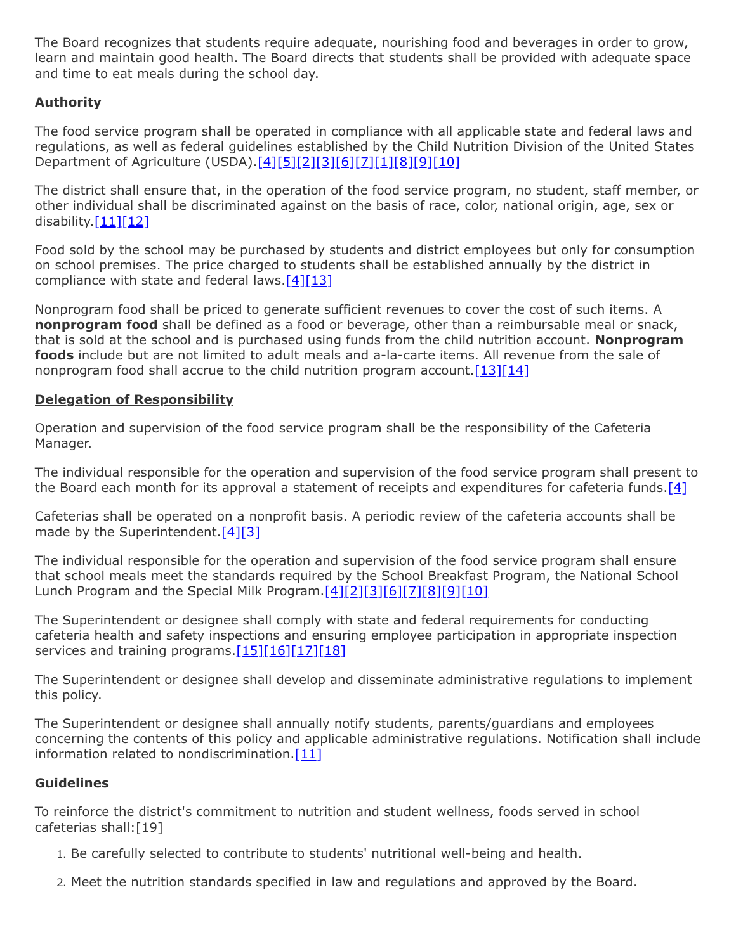The Board recognizes that students require adequate, nourishing food and beverages in order to grow, learn and maintain good health. The Board directs that students shall be provided with adequate space and time to eat meals during the school day.

# **Authority**

The food service program shall be operated in compliance with all applicable state and federal laws and regulations, as well as federal guidelines established by the Child Nutrition Division of the United States Department of Agriculture (USDA)[.\[4\]](http://www.legis.state.pa.us/cfdocs/legis/LI/uconsCheck.cfm?txtType=HTM&yr=1949&sessInd=0&smthLwInd=0&act=14&chpt=5&sctn=4&subsctn=0)[\[5\]](http://www.legis.state.pa.us/cfdocs/legis/LI/uconsCheck.cfm?txtType=HTM&yr=1949&sessInd=0&smthLwInd=0&act=14&chpt=8&sctn=7&subsctn=1)[\[2\]](http://www.legis.state.pa.us/cfdocs/legis/LI/uconsCheck.cfm?txtType=HTM&yr=1949&sessInd=0&smthLwInd=0&act=14&chpt=13&sctn=35&subsctn=0)[2][\[6\]](http://www.law.cornell.edu/uscode/text/42/chapter-13)[\[7\]](http://www.law.cornell.edu/uscode/text/42/1773)[\[1\]](http://www.ecfr.gov/cgi-bin/text-idx?SID=f19ad7e3b69771d2c8718ff28c77c423&mc=true&node=pt2.1.200&rgn=div5)[\[8\]](http://www.law.cornell.edu/cfr/text/7/part-210)[\[9\]](http://www.law.cornell.edu/cfr/text/7/part-215)[\[10\]](http://www.law.cornell.edu/cfr/text/7/part-220)

The district shall ensure that, in the operation of the food service program, no student, staff member, or other individual shall be discriminated against on the basis of race, color, national origin, age, sex or disability. $[11][12]$  $[11][12]$ 

Food sold by the school may be purchased by students and district employees but only for consumption on school premises. The price charged to students shall be established annually by the district in compliance with state and federal laws. $[4][13]$  $[4][13]$ 

Nonprogram food shall be priced to generate sufficient revenues to cover the cost of such items. A **nonprogram food** shall be defined as a food or beverage, other than a reimbursable meal or snack, that is sold at the school and is purchased using funds from the child nutrition account. **Nonprogram foods** include but are not limited to adult meals and a-la-carte items. All revenue from the sale of nonprogram food shall accrue to the child nutrition program account.  $[13][14]$  $[13][14]$ 

# **Delegation of Responsibility**

Operation and supervision of the food service program shall be the responsibility of the Cafeteria Manager.

The individual responsible for the operation and supervision of the food service program shall present to the Board each month for its approval a statement of receipts and expenditures for cafeteria funds.  $[4]$ 

Cafeterias shall be operated on a nonprofit basis. A periodic review of the cafeteria accounts shall be made by the Superintendent.  $[4][3]$  $[4][3]$ 

The individual responsible for the operation and supervision of the food service program shall ensure that school meals meet the standards required by the School Breakfast Program, the National School Lunch Program and the Special Milk Program[.\[4\]](http://www.legis.state.pa.us/cfdocs/legis/LI/uconsCheck.cfm?txtType=HTM&yr=1949&sessInd=0&smthLwInd=0&act=14&chpt=5&sctn=4&subsctn=0)[\[2\]](http://www.legis.state.pa.us/cfdocs/legis/LI/uconsCheck.cfm?txtType=HTM&yr=1949&sessInd=0&smthLwInd=0&act=14&chpt=13&sctn=35&subsctn=0)[\[3\]](http://www.legis.state.pa.us/cfdocs/legis/LI/uconsCheck.cfm?txtType=HTM&yr=1949&sessInd=0&smthLwInd=0&act=14&chpt=13&sctn=37&subsctn=0)[\[6\]](http://www.law.cornell.edu/uscode/text/42/chapter-13)[\[7\]](http://www.law.cornell.edu/uscode/text/42/1773)[\[8\]](http://www.law.cornell.edu/cfr/text/7/part-210)[\[9\]](http://www.law.cornell.edu/cfr/text/7/part-215)[\[10\]](http://www.law.cornell.edu/cfr/text/7/part-220)

The Superintendent or designee shall comply with state and federal requirements for conducting cafeteria health and safety inspections and ensuring employee participation in appropriate inspection services and training programs. $[15][16][17][18]$  $[15][16][17][18]$  $[15][16][17][18]$  $[15][16][17][18]$ 

The Superintendent or designee shall develop and disseminate administrative regulations to implement this policy.

The Superintendent or designee shall annually notify students, parents/guardians and employees concerning the contents of this policy and applicable administrative regulations. Notification shall include information related to nondiscrimination. $[11]$ 

### **Guidelines**

To reinforce the district's commitment to nutrition and student wellness, foods served in school cafeterias shall:[19]

- 1. Be carefully selected to contribute to students' nutritional well-being and health.
- 2. Meet the nutrition standards specified in law and regulations and approved by the Board.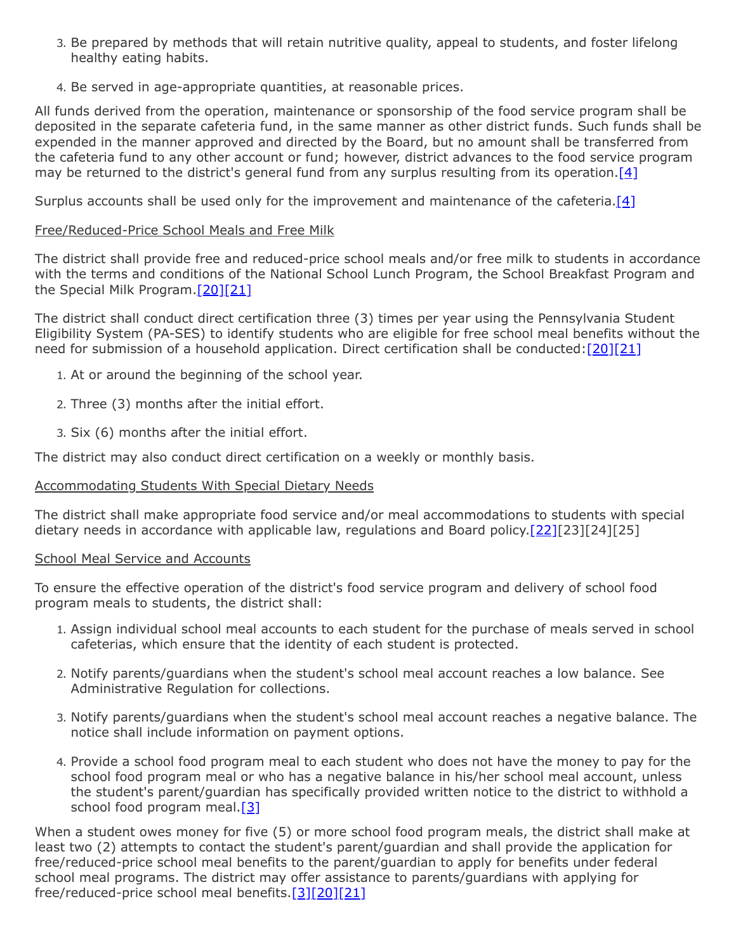- 3. Be prepared by methods that will retain nutritive quality, appeal to students, and foster lifelong healthy eating habits.
- 4. Be served in age-appropriate quantities, at reasonable prices.

All funds derived from the operation, maintenance or sponsorship of the food service program shall be deposited in the separate cafeteria fund, in the same manner as other district funds. Such funds shall be expended in the manner approved and directed by the Board, but no amount shall be transferred from the cafeteria fund to any other account or fund; however, district advances to the food service program may be returned to the district's general fund from any surplus resulting from its operation. [\[4\]](http://www.legis.state.pa.us/cfdocs/legis/LI/uconsCheck.cfm?txtType=HTM&yr=1949&sessInd=0&smthLwInd=0&act=14&chpt=5&sctn=4&subsctn=0)

Surplus accounts shall be used only for the improvement and maintenance of the cafeteria.  $[4]$ 

# Free/Reduced-Price School Meals and Free Milk

The district shall provide free and reduced-price school meals and/or free milk to students in accordance with the terms and conditions of the National School Lunch Program, the School Breakfast Program and the Special Milk Program.<sup>[\[20\]](http://www.law.cornell.edu/uscode/text/42/1758)[\[21\]](http://www.law.cornell.edu/cfr/text/7/part-245)</sup>

The district shall conduct direct certification three (3) times per year using the Pennsylvania Student Eligibility System (PA-SES) to identify students who are eligible for free school meal benefits without the need for submission of a household application. Direct certification shall be conducted: [\[20\]](http://www.law.cornell.edu/uscode/text/42/1758)[\[21\]](http://www.law.cornell.edu/cfr/text/7/part-245)

- 1. At or around the beginning of the school year.
- 2. Three (3) months after the initial effort.
- 3. Six (6) months after the initial effort.

The district may also conduct direct certification on a weekly or monthly basis.

### Accommodating Students With Special Dietary Needs

The district shall make appropriate food service and/or meal accommodations to students with special dietary needs in accordance with applicable law, regulations and Board policy.  $[22][23][24][25]$ 

### School Meal Service and Accounts

To ensure the effective operation of the district's food service program and delivery of school food program meals to students, the district shall:

- 1. Assign individual school meal accounts to each student for the purchase of meals served in school cafeterias, which ensure that the identity of each student is protected.
- 2. Notify parents/guardians when the student's school meal account reaches a low balance. See Administrative Regulation for collections.
- 3. Notify parents/guardians when the student's school meal account reaches a negative balance. The notice shall include information on payment options.
- 4. Provide a school food program meal to each student who does not have the money to pay for the school food program meal or who has a negative balance in his/her school meal account, unless the student's parent/guardian has specifically provided written notice to the district to withhold a school food program meal.<sup>[\[3\]](http://www.legis.state.pa.us/cfdocs/legis/LI/uconsCheck.cfm?txtType=HTM&yr=1949&sessInd=0&smthLwInd=0&act=14&chpt=13&sctn=37&subsctn=0)</sup>

When a student owes money for five (5) or more school food program meals, the district shall make at least two (2) attempts to contact the student's parent/guardian and shall provide the application for free/reduced-price school meal benefits to the parent/guardian to apply for benefits under federal school meal programs. The district may offer assistance to parents/guardians with applying for free/reduced-price school meal benefits.[\[3\]](http://www.legis.state.pa.us/cfdocs/legis/LI/uconsCheck.cfm?txtType=HTM&yr=1949&sessInd=0&smthLwInd=0&act=14&chpt=13&sctn=37&subsctn=0)[\[20\]](http://www.law.cornell.edu/uscode/text/42/1758)[\[21\]](http://www.law.cornell.edu/cfr/text/7/part-245)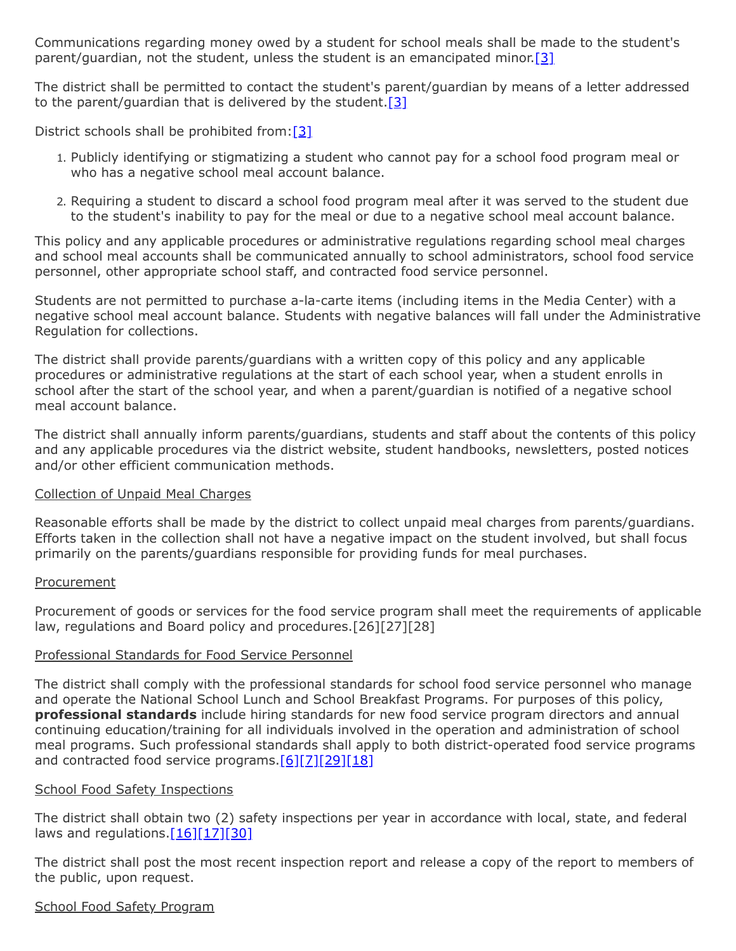Communications regarding money owed by a student for school meals shall be made to the student's parent/guardian, not the student, unless the student is an emancipated minor[.\[3\]](http://www.legis.state.pa.us/cfdocs/legis/LI/uconsCheck.cfm?txtType=HTM&yr=1949&sessInd=0&smthLwInd=0&act=14&chpt=13&sctn=37&subsctn=0)

The district shall be permitted to contact the student's parent/guardian by means of a letter addressed to the parent/guardian that is delivered by the student.  $[3]$ 

District schools shall be prohibited from: $[3]$ 

- 1. Publicly identifying or stigmatizing a student who cannot pay for a school food program meal or who has a negative school meal account balance.
- 2. Requiring a student to discard a school food program meal after it was served to the student due to the student's inability to pay for the meal or due to a negative school meal account balance.

This policy and any applicable procedures or administrative regulations regarding school meal charges and school meal accounts shall be communicated annually to school administrators, school food service personnel, other appropriate school staff, and contracted food service personnel.

Students are not permitted to purchase a-la-carte items (including items in the Media Center) with a negative school meal account balance. Students with negative balances will fall under the Administrative Regulation for collections.

The district shall provide parents/guardians with a written copy of this policy and any applicable procedures or administrative regulations at the start of each school year, when a student enrolls in school after the start of the school year, and when a parent/guardian is notified of a negative school meal account balance.

The district shall annually inform parents/guardians, students and staff about the contents of this policy and any applicable procedures via the district website, student handbooks, newsletters, posted notices and/or other efficient communication methods.

### Collection of Unpaid Meal Charges

Reasonable efforts shall be made by the district to collect unpaid meal charges from parents/guardians. Efforts taken in the collection shall not have a negative impact on the student involved, but shall focus primarily on the parents/guardians responsible for providing funds for meal purchases.

### Procurement

Procurement of goods or services for the food service program shall meet the requirements of applicable law, regulations and Board policy and procedures.[26][27][28]

### Professional Standards for Food Service Personnel

The district shall comply with the professional standards for school food service personnel who manage and operate the National School Lunch and School Breakfast Programs. For purposes of this policy, **professional standards** include hiring standards for new food service program directors and annual continuing education/training for all individuals involved in the operation and administration of school meal programs. Such professional standards shall apply to both district-operated food service programs and contracted food service programs.<sup>[\[6\]](http://www.law.cornell.edu/uscode/text/42/chapter-13)[\[7\]](http://www.law.cornell.edu/uscode/text/42/1773)[\[29\]](https://www.law.cornell.edu/cfr/text/7/210.15)[\[18\]](https://www.law.cornell.edu/cfr/text/7/210.30)</sup>

### School Food Safety Inspections

The district shall obtain two (2) safety inspections per year in accordance with local, state, and federal laws and regulations. $[16][17][30]$  $[16][17][30]$  $[16][17][30]$ 

The district shall post the most recent inspection report and release a copy of the report to members of the public, upon request.

### School Food Safety Program